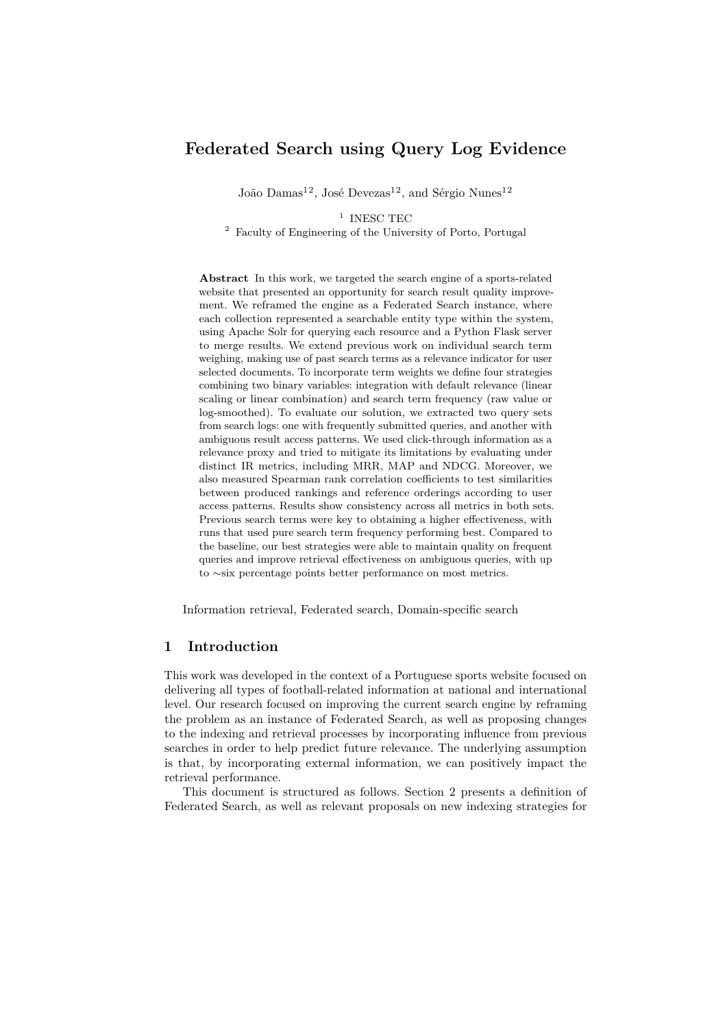# **Federated Search using Query Log Evidence**

João Damas<sup>12</sup>, José Devezas<sup>12</sup>, and Sérgio Nunes<sup>12</sup>

<sup>1</sup> INESC TEC

<sup>2</sup> Faculty of Engineering of the University of Porto, Portugal

**Abstract** In this work, we targeted the search engine of a sports-related website that presented an opportunity for search result quality improvement. We reframed the engine as a Federated Search instance, where each collection represented a searchable entity type within the system, using Apache Solr for querying each resource and a Python Flask server to merge results. We extend previous work on individual search term weighing, making use of past search terms as a relevance indicator for user selected documents. To incorporate term weights we define four strategies combining two binary variables: integration with default relevance (linear scaling or linear combination) and search term frequency (raw value or log-smoothed). To evaluate our solution, we extracted two query sets from search logs: one with frequently submitted queries, and another with ambiguous result access patterns. We used click-through information as a relevance proxy and tried to mitigate its limitations by evaluating under distinct IR metrics, including MRR, MAP and NDCG. Moreover, we also measured Spearman rank correlation coefficients to test similarities between produced rankings and reference orderings according to user access patterns. Results show consistency across all metrics in both sets. Previous search terms were key to obtaining a higher effectiveness, with runs that used pure search term frequency performing best. Compared to the baseline, our best strategies were able to maintain quality on frequent queries and improve retrieval effectiveness on ambiguous queries, with up to ∼six percentage points better performance on most metrics.

Information retrieval, Federated search, Domain-specific search

# **1 Introduction**

This work was developed in the context of a Portuguese sports website focused on delivering all types of football-related information at national and international level. Our research focused on improving the current search engine by reframing the problem as an instance of Federated Search, as well as proposing changes to the indexing and retrieval processes by incorporating influence from previous searches in order to help predict future relevance. The underlying assumption is that, by incorporating external information, we can positively impact the retrieval performance.

This document is structured as follows. Section [2](#page-1-0) presents a definition of Federated Search, as well as relevant proposals on new indexing strategies for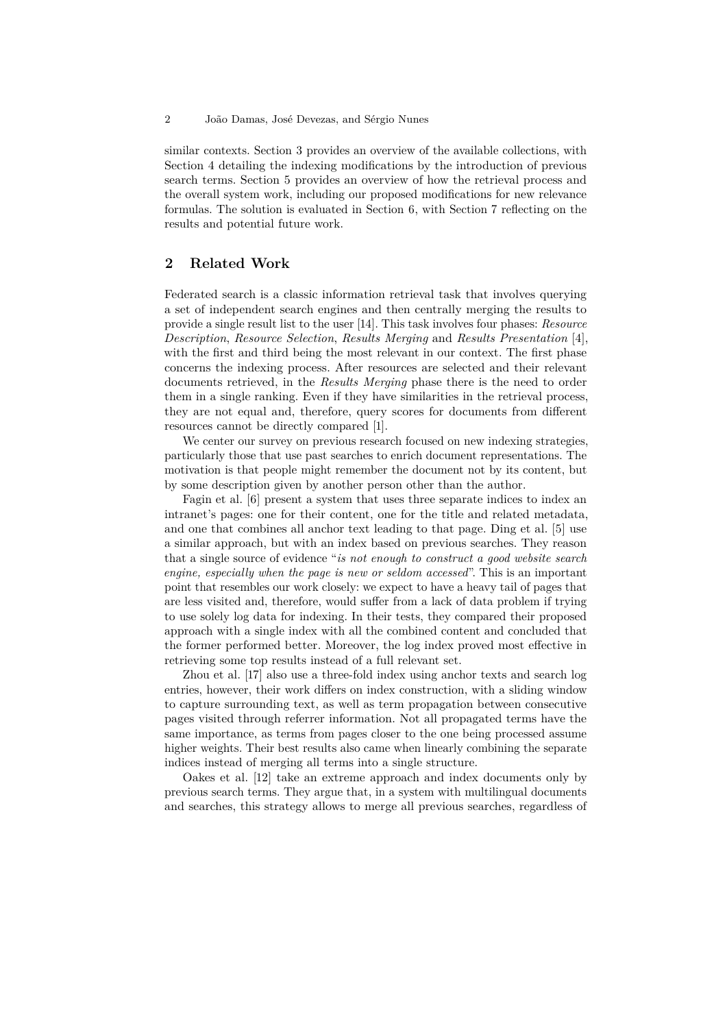similar contexts. Section [3](#page-2-0) provides an overview of the available collections, with Section [4](#page-2-1) detailing the indexing modifications by the introduction of previous search terms. Section [5](#page-3-0) provides an overview of how the retrieval process and the overall system work, including our proposed modifications for new relevance formulas. The solution is evaluated in Section [6,](#page-4-0) with Section [7](#page-9-0) reflecting on the results and potential future work.

# <span id="page-1-0"></span>**2 Related Work**

Federated search is a classic information retrieval task that involves querying a set of independent search engines and then centrally merging the results to provide a single result list to the user [\[14\]](#page-11-0). This task involves four phases: *Resource Description*, *Resource Selection*, *Results Merging* and *Results Presentation* [\[4\]](#page-11-1), with the first and third being the most relevant in our context. The first phase concerns the indexing process. After resources are selected and their relevant documents retrieved, in the *Results Merging* phase there is the need to order them in a single ranking. Even if they have similarities in the retrieval process, they are not equal and, therefore, query scores for documents from different resources cannot be directly compared [\[1\]](#page-10-0).

We center our survey on previous research focused on new indexing strategies, particularly those that use past searches to enrich document representations. The motivation is that people might remember the document not by its content, but by some description given by another person other than the author.

Fagin et al. [\[6\]](#page-11-2) present a system that uses three separate indices to index an intranet's pages: one for their content, one for the title and related metadata, and one that combines all anchor text leading to that page. Ding et al. [\[5\]](#page-11-3) use a similar approach, but with an index based on previous searches. They reason that a single source of evidence "*is not enough to construct a good website search engine, especially when the page is new or seldom accessed*". This is an important point that resembles our work closely: we expect to have a heavy tail of pages that are less visited and, therefore, would suffer from a lack of data problem if trying to use solely log data for indexing. In their tests, they compared their proposed approach with a single index with all the combined content and concluded that the former performed better. Moreover, the log index proved most effective in retrieving some top results instead of a full relevant set.

Zhou et al. [\[17\]](#page-11-4) also use a three-fold index using anchor texts and search log entries, however, their work differs on index construction, with a sliding window to capture surrounding text, as well as term propagation between consecutive pages visited through referrer information. Not all propagated terms have the same importance, as terms from pages closer to the one being processed assume higher weights. Their best results also came when linearly combining the separate indices instead of merging all terms into a single structure.

Oakes et al. [\[12\]](#page-11-5) take an extreme approach and index documents only by previous search terms. They argue that, in a system with multilingual documents and searches, this strategy allows to merge all previous searches, regardless of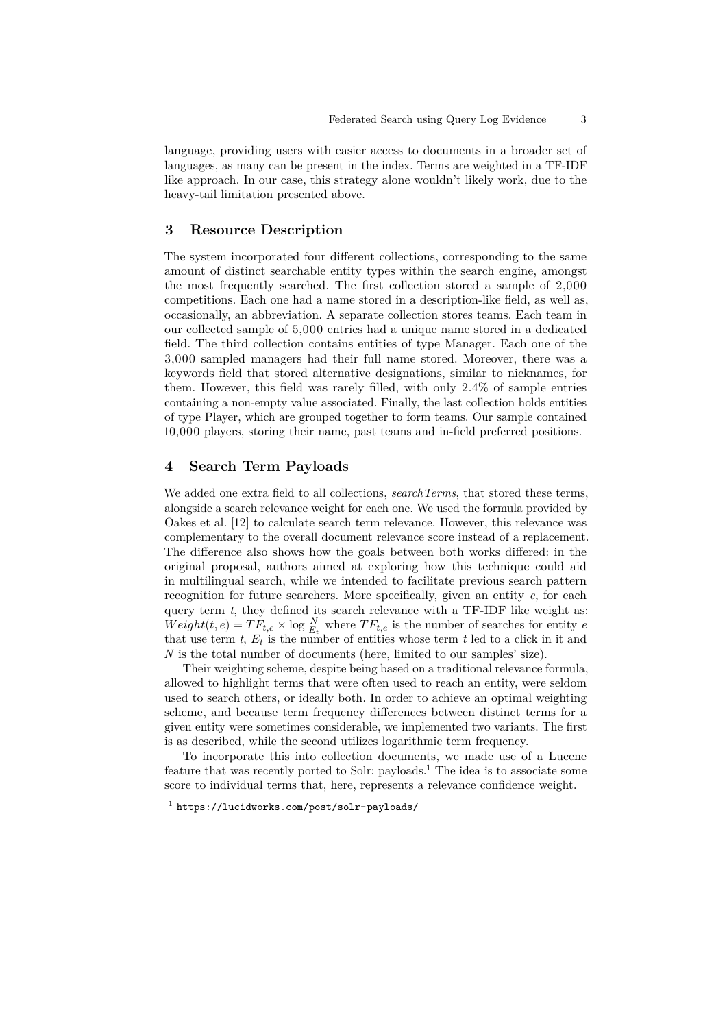language, providing users with easier access to documents in a broader set of languages, as many can be present in the index. Terms are weighted in a TF-IDF like approach. In our case, this strategy alone wouldn't likely work, due to the heavy-tail limitation presented above.

### <span id="page-2-0"></span>**3 Resource Description**

The system incorporated four different collections, corresponding to the same amount of distinct searchable entity types within the search engine, amongst the most frequently searched. The first collection stored a sample of 2,000 competitions. Each one had a name stored in a description-like field, as well as, occasionally, an abbreviation. A separate collection stores teams. Each team in our collected sample of 5,000 entries had a unique name stored in a dedicated field. The third collection contains entities of type Manager. Each one of the 3,000 sampled managers had their full name stored. Moreover, there was a keywords field that stored alternative designations, similar to nicknames, for them. However, this field was rarely filled, with only 2.4% of sample entries containing a non-empty value associated. Finally, the last collection holds entities of type Player, which are grouped together to form teams. Our sample contained 10,000 players, storing their name, past teams and in-field preferred positions.

### <span id="page-2-1"></span>**4 Search Term Payloads**

We added one extra field to all collections, *searchTerms*, that stored these terms, alongside a search relevance weight for each one. We used the formula provided by Oakes et al. [\[12\]](#page-11-5) to calculate search term relevance. However, this relevance was complementary to the overall document relevance score instead of a replacement. The difference also shows how the goals between both works differed: in the original proposal, authors aimed at exploring how this technique could aid in multilingual search, while we intended to facilitate previous search pattern recognition for future searchers. More specifically, given an entity *e*, for each query term *t*, they defined its search relevance with a TF-IDF like weight as:  $Weight(t, e) = TF_{t, e} \times \log \frac{N}{E_t}$  where  $TF_{t, e}$  is the number of searches for entity *e* that use term  $t$ ,  $E_t$  is the number of entities whose term  $t$  led to a click in it and *N* is the total number of documents (here, limited to our samples' size).

Their weighting scheme, despite being based on a traditional relevance formula, allowed to highlight terms that were often used to reach an entity, were seldom used to search others, or ideally both. In order to achieve an optimal weighting scheme, and because term frequency differences between distinct terms for a given entity were sometimes considerable, we implemented two variants. The first is as described, while the second utilizes logarithmic term frequency.

To incorporate this into collection documents, we made use of a Lucene feature that was recently ported to Solr: payloads.<sup>[1](#page-2-2)</sup> The idea is to associate some score to individual terms that, here, represents a relevance confidence weight.

<span id="page-2-2"></span><sup>1</sup> <https://lucidworks.com/post/solr-payloads/>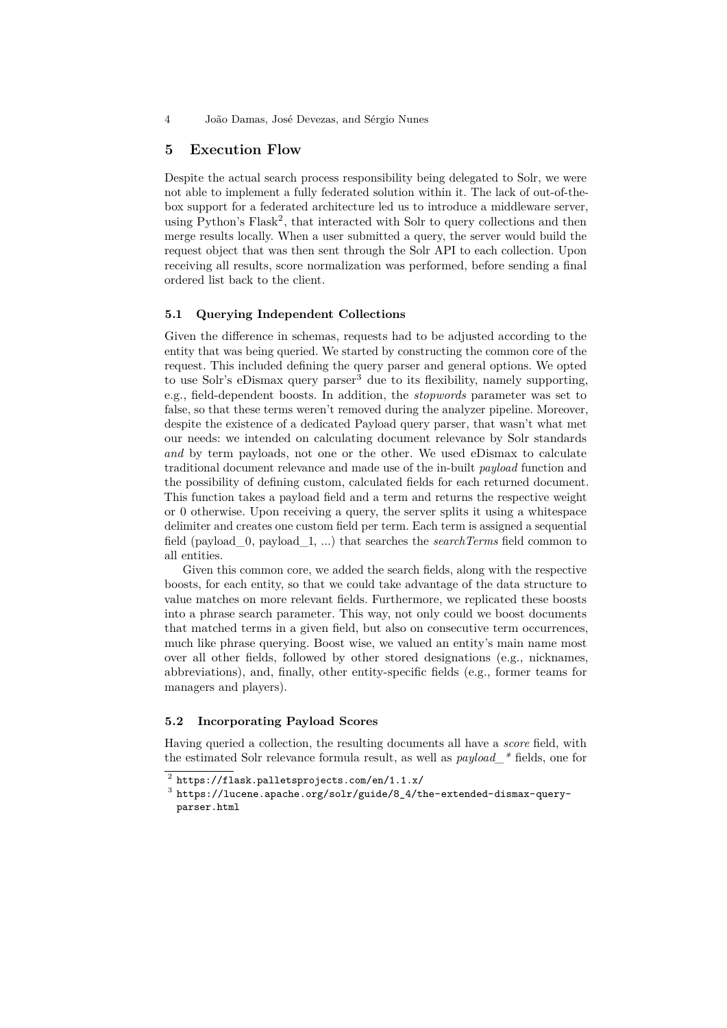### <span id="page-3-0"></span>**5 Execution Flow**

Despite the actual search process responsibility being delegated to Solr, we were not able to implement a fully federated solution within it. The lack of out-of-thebox support for a federated architecture led us to introduce a middleware server, using Python's Flask<sup>[2](#page-3-1)</sup>, that interacted with Solr to query collections and then merge results locally. When a user submitted a query, the server would build the request object that was then sent through the Solr API to each collection. Upon receiving all results, score normalization was performed, before sending a final ordered list back to the client.

### **5.1 Querying Independent Collections**

Given the difference in schemas, requests had to be adjusted according to the entity that was being queried. We started by constructing the common core of the request. This included defining the query parser and general options. We opted to use Solr's eDismax query parser<sup>[3](#page-3-2)</sup> due to its flexibility, namely supporting, e.g., field-dependent boosts. In addition, the *stopwords* parameter was set to false, so that these terms weren't removed during the analyzer pipeline. Moreover, despite the existence of a dedicated Payload query parser, that wasn't what met our needs: we intended on calculating document relevance by Solr standards *and* by term payloads, not one or the other. We used eDismax to calculate traditional document relevance and made use of the in-built *payload* function and the possibility of defining custom, calculated fields for each returned document. This function takes a payload field and a term and returns the respective weight or 0 otherwise. Upon receiving a query, the server splits it using a whitespace delimiter and creates one custom field per term. Each term is assigned a sequential field (payload\_0, payload\_1, ...) that searches the *searchTerms* field common to all entities.

Given this common core, we added the search fields, along with the respective boosts, for each entity, so that we could take advantage of the data structure to value matches on more relevant fields. Furthermore, we replicated these boosts into a phrase search parameter. This way, not only could we boost documents that matched terms in a given field, but also on consecutive term occurrences, much like phrase querying. Boost wise, we valued an entity's main name most over all other fields, followed by other stored designations (e.g., nicknames, abbreviations), and, finally, other entity-specific fields (e.g., former teams for managers and players).

#### **5.2 Incorporating Payload Scores**

Having queried a collection, the resulting documents all have a *score* field, with the estimated Solr relevance formula result, as well as *payload\_\** fields, one for

<sup>4</sup> João Damas, José Devezas, and Sérgio Nunes

<span id="page-3-1"></span> $^{2}$  <https://flask.palletsprojects.com/en/1.1.x/>

<span id="page-3-2"></span> $^3$  [https://lucene.apache.org/solr/guide/8\\_4/the-extended-dismax-query](https://lucene.apache.org/solr/guide/ 8_4/the-extended-dismax-query-parser.html)[parser.html](https://lucene.apache.org/solr/guide/ 8_4/the-extended-dismax-query-parser.html)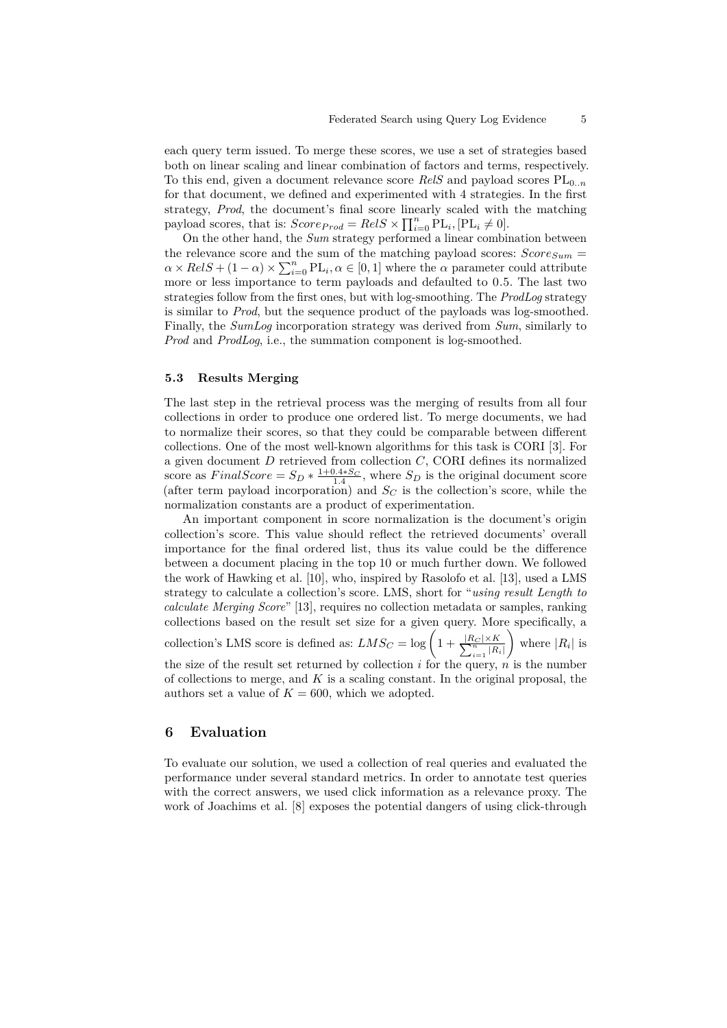each query term issued. To merge these scores, we use a set of strategies based both on linear scaling and linear combination of factors and terms, respectively. To this end, given a document relevance score  $RelS$  and payload scores  $PL_{0..n}$ for that document, we defined and experimented with 4 strategies. In the first strategy, *Prod*, the document's final score linearly scaled with the matching payload scores, that is:  $Score_{Prod} = RelS \times \prod_{i=0}^{n} PL_i$ ,  $[PL_i \neq 0]$ .

On the other hand, the *Sum* strategy performed a linear combination between the relevance score and the sum of the matching payload scores:  $Score_{Sum}$  $\alpha \times RelS + (1 - \alpha) \times \sum_{i=0}^{n} PL_i, \alpha \in [0, 1]$  where the  $\alpha$  parameter could attribute more or less importance to term payloads and defaulted to 0.5. The last two strategies follow from the first ones, but with log-smoothing. The *ProdLog* strategy is similar to *Prod*, but the sequence product of the payloads was log-smoothed. Finally, the *SumLog* incorporation strategy was derived from *Sum*, similarly to *Prod* and *ProdLog*, i.e., the summation component is log-smoothed.

#### **5.3 Results Merging**

The last step in the retrieval process was the merging of results from all four collections in order to produce one ordered list. To merge documents, we had to normalize their scores, so that they could be comparable between different collections. One of the most well-known algorithms for this task is CORI [\[3\]](#page-10-1). For a given document *D* retrieved from collection *C*, CORI defines its normalized score as  $FinalScore = S_D * \frac{1+0.4*S_C}{1.4}$ , where  $S_D$  is the original document score (after term payload incorporation) and  $S_C$  is the collection's score, while the normalization constants are a product of experimentation.

An important component in score normalization is the document's origin collection's score. This value should reflect the retrieved documents' overall importance for the final ordered list, thus its value could be the difference between a document placing in the top 10 or much further down. We followed the work of Hawking et al. [\[10\]](#page-11-6), who, inspired by Rasolofo et al. [\[13\]](#page-11-7), used a LMS strategy to calculate a collection's score. LMS, short for "*using result Length to calculate Merging Score*" [\[13\]](#page-11-7), requires no collection metadata or samples, ranking collections based on the result set size for a given query. More specifically, a collection's LMS score is defined as:  $LMS_C = \log \left( 1 + \frac{|R_C| \times K}{\sum_{i=1}^{n} |R_i|} \right)$  $\Big)$  where  $|R_i|$  is the size of the result set returned by collection *i* for the query, *n* is the number of collections to merge, and *K* is a scaling constant. In the original proposal, the authors set a value of  $K = 600$ , which we adopted.

# <span id="page-4-0"></span>**6 Evaluation**

To evaluate our solution, we used a collection of real queries and evaluated the performance under several standard metrics. In order to annotate test queries with the correct answers, we used click information as a relevance proxy. The work of Joachims et al. [\[8\]](#page-11-8) exposes the potential dangers of using click-through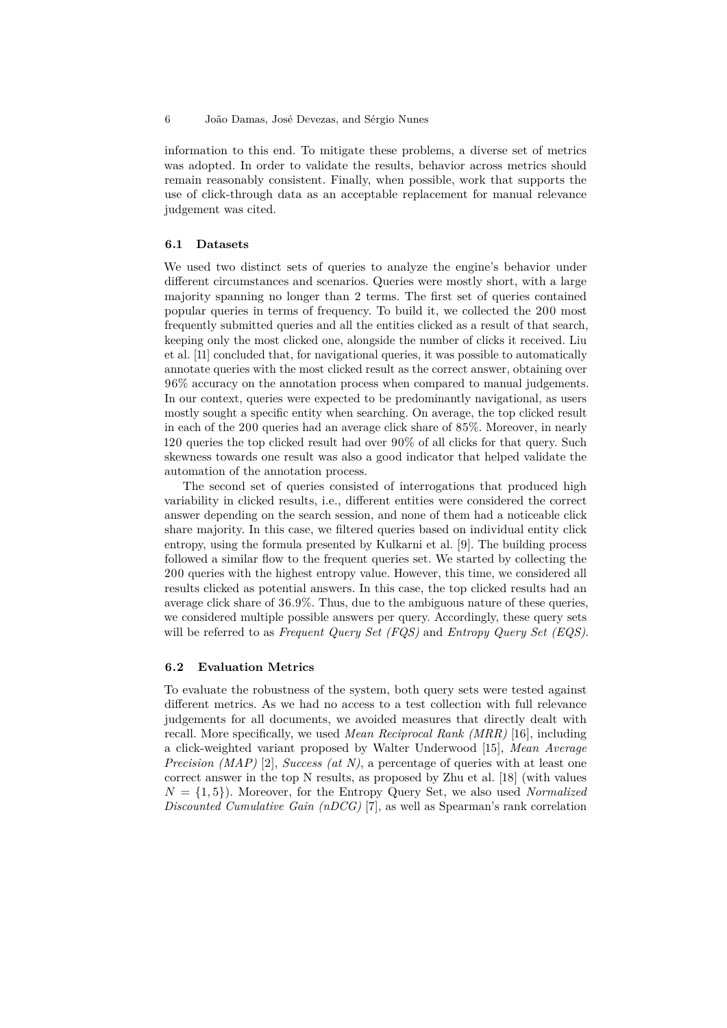information to this end. To mitigate these problems, a diverse set of metrics was adopted. In order to validate the results, behavior across metrics should remain reasonably consistent. Finally, when possible, work that supports the use of click-through data as an acceptable replacement for manual relevance judgement was cited.

#### **6.1 Datasets**

We used two distinct sets of queries to analyze the engine's behavior under different circumstances and scenarios. Queries were mostly short, with a large majority spanning no longer than 2 terms. The first set of queries contained popular queries in terms of frequency. To build it, we collected the 200 most frequently submitted queries and all the entities clicked as a result of that search, keeping only the most clicked one, alongside the number of clicks it received. Liu et al. [\[11\]](#page-11-9) concluded that, for navigational queries, it was possible to automatically annotate queries with the most clicked result as the correct answer, obtaining over 96% accuracy on the annotation process when compared to manual judgements. In our context, queries were expected to be predominantly navigational, as users mostly sought a specific entity when searching. On average, the top clicked result in each of the 200 queries had an average click share of 85%. Moreover, in nearly 120 queries the top clicked result had over 90% of all clicks for that query. Such skewness towards one result was also a good indicator that helped validate the automation of the annotation process.

The second set of queries consisted of interrogations that produced high variability in clicked results, i.e., different entities were considered the correct answer depending on the search session, and none of them had a noticeable click share majority. In this case, we filtered queries based on individual entity click entropy, using the formula presented by Kulkarni et al. [\[9\]](#page-11-10). The building process followed a similar flow to the frequent queries set. We started by collecting the 200 queries with the highest entropy value. However, this time, we considered all results clicked as potential answers. In this case, the top clicked results had an average click share of 36.9%. Thus, due to the ambiguous nature of these queries, we considered multiple possible answers per query. Accordingly, these query sets will be referred to as *Frequent Query Set (FQS)* and *Entropy Query Set (EQS)*.

#### **6.2 Evaluation Metrics**

To evaluate the robustness of the system, both query sets were tested against different metrics. As we had no access to a test collection with full relevance judgements for all documents, we avoided measures that directly dealt with recall. More specifically, we used *Mean Reciprocal Rank (MRR)* [\[16\]](#page-11-11), including a click-weighted variant proposed by Walter Underwood [\[15\]](#page-11-12), *Mean Average Precision (MAP)* [\[2\]](#page-10-2), *Success (at N)*, a percentage of queries with at least one correct answer in the top N results, as proposed by Zhu et al. [\[18\]](#page-11-13) (with values  $N = \{1, 5\}$ . Moreover, for the Entropy Query Set, we also used *Normalized Discounted Cumulative Gain (nDCG)* [\[7\]](#page-11-14), as well as Spearman's rank correlation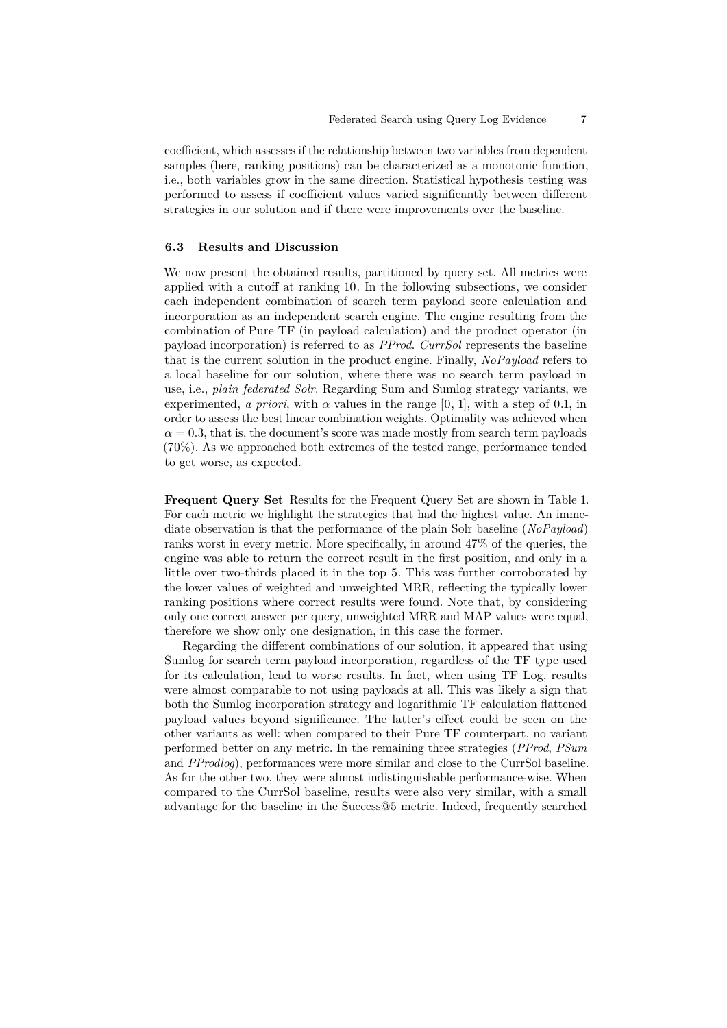coefficient, which assesses if the relationship between two variables from dependent samples (here, ranking positions) can be characterized as a monotonic function, i.e., both variables grow in the same direction. Statistical hypothesis testing was performed to assess if coefficient values varied significantly between different strategies in our solution and if there were improvements over the baseline.

### **6.3 Results and Discussion**

We now present the obtained results, partitioned by query set. All metrics were applied with a cutoff at ranking 10. In the following subsections, we consider each independent combination of search term payload score calculation and incorporation as an independent search engine. The engine resulting from the combination of Pure TF (in payload calculation) and the product operator (in payload incorporation) is referred to as *PProd*. *CurrSol* represents the baseline that is the current solution in the product engine. Finally, *NoPayload* refers to a local baseline for our solution, where there was no search term payload in use, i.e., *plain federated Solr*. Regarding Sum and Sumlog strategy variants, we experimented, *a priori*, with  $\alpha$  values in the range [0, 1], with a step of 0.1, in order to assess the best linear combination weights. Optimality was achieved when  $\alpha = 0.3$ , that is, the document's score was made mostly from search term payloads (70%). As we approached both extremes of the tested range, performance tended to get worse, as expected.

**Frequent Query Set** Results for the Frequent Query Set are shown in Table [1.](#page-7-0) For each metric we highlight the strategies that had the highest value. An immediate observation is that the performance of the plain Solr baseline (*NoPayload*) ranks worst in every metric. More specifically, in around 47% of the queries, the engine was able to return the correct result in the first position, and only in a little over two-thirds placed it in the top 5. This was further corroborated by the lower values of weighted and unweighted MRR, reflecting the typically lower ranking positions where correct results were found. Note that, by considering only one correct answer per query, unweighted MRR and MAP values were equal, therefore we show only one designation, in this case the former.

Regarding the different combinations of our solution, it appeared that using Sumlog for search term payload incorporation, regardless of the TF type used for its calculation, lead to worse results. In fact, when using TF Log, results were almost comparable to not using payloads at all. This was likely a sign that both the Sumlog incorporation strategy and logarithmic TF calculation flattened payload values beyond significance. The latter's effect could be seen on the other variants as well: when compared to their Pure TF counterpart, no variant performed better on any metric. In the remaining three strategies (*PProd*, *PSum* and *PProdlog*), performances were more similar and close to the CurrSol baseline. As for the other two, they were almost indistinguishable performance-wise. When compared to the CurrSol baseline, results were also very similar, with a small advantage for the baseline in the Success@5 metric. Indeed, frequently searched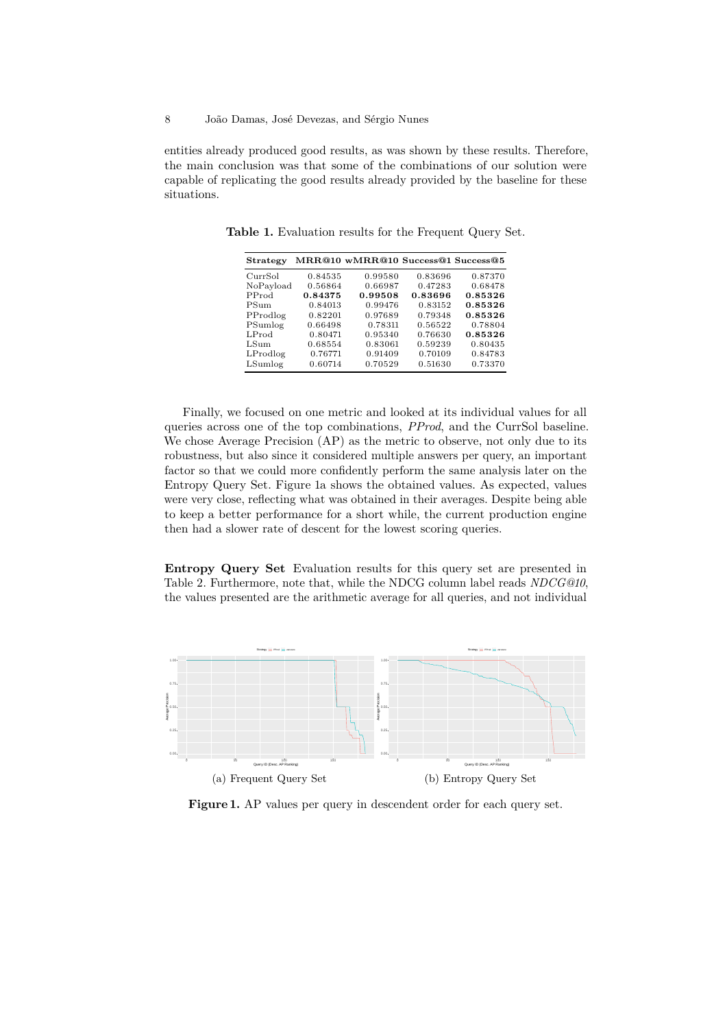entities already produced good results, as was shown by these results. Therefore, the main conclusion was that some of the combinations of our solution were capable of replicating the good results already provided by the baseline for these situations.

| Strategy  |         | MRR@10 wMRR@10 Success@1 Success@5 |         |         |
|-----------|---------|------------------------------------|---------|---------|
| CurrSol   | 0.84535 | 0.99580                            | 0.83696 | 0.87370 |
| NoPayload | 0.56864 | 0.66987                            | 0.47283 | 0.68478 |
| PProd     | 0.84375 | 0.99508                            | 0.83696 | 0.85326 |
| PSum      | 0.84013 | 0.99476                            | 0.83152 | 0.85326 |
| PProdlog  | 0.82201 | 0.97689                            | 0.79348 | 0.85326 |
| PSumlog   | 0.66498 | 0.78311                            | 0.56522 | 0.78804 |
| LProd     | 0.80471 | 0.95340                            | 0.76630 | 0.85326 |
| LSum      | 0.68554 | 0.83061                            | 0.59239 | 0.80435 |
| LProdlog  | 0.76771 | 0.91409                            | 0.70109 | 0.84783 |
| LSumlog   | 0.60714 | 0.70529                            | 0.51630 | 0.73370 |

<span id="page-7-0"></span>**Table 1.** Evaluation results for the Frequent Query Set.

Finally, we focused on one metric and looked at its individual values for all queries across one of the top combinations, *PProd*, and the CurrSol baseline. We chose Average Precision (AP) as the metric to observe, not only due to its robustness, but also since it considered multiple answers per query, an important factor so that we could more confidently perform the same analysis later on the Entropy Query Set. Figure [1a](#page-7-1) shows the obtained values. As expected, values were very close, reflecting what was obtained in their averages. Despite being able to keep a better performance for a short while, the current production engine then had a slower rate of descent for the lowest scoring queries.

**Entropy Query Set** Evaluation results for this query set are presented in Table [2.](#page-8-0) Furthermore, note that, while the NDCG column label reads *NDCG@10*, the values presented are the arithmetic average for all queries, and not individual

<span id="page-7-1"></span>

<span id="page-7-2"></span>**Figure 1.** AP values per query in descendent order for each query set.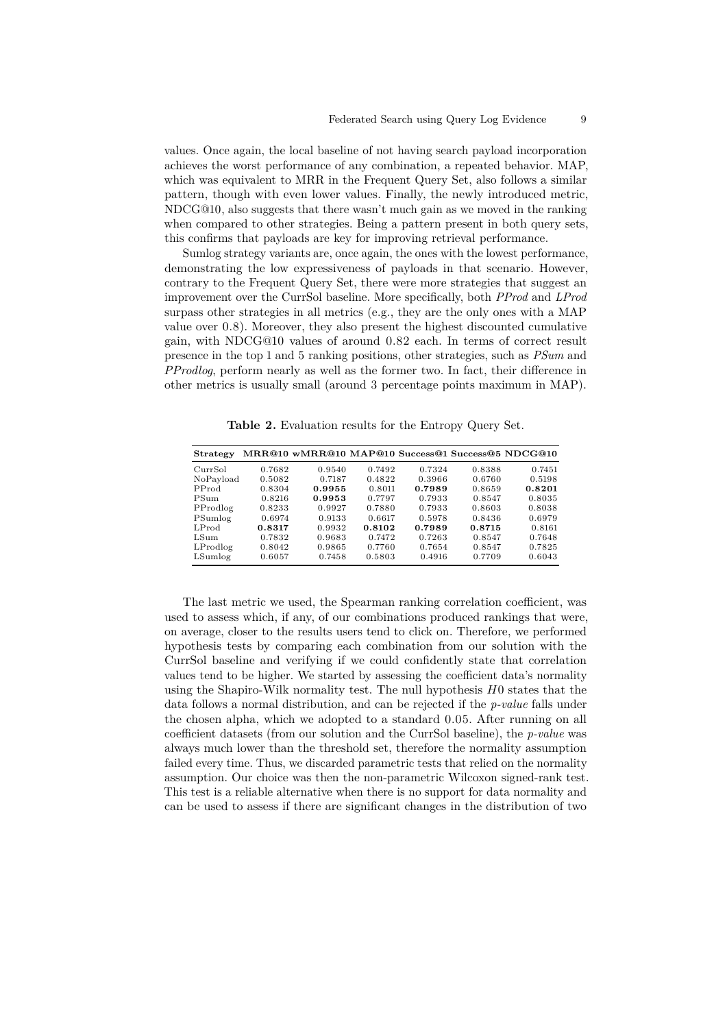values. Once again, the local baseline of not having search payload incorporation achieves the worst performance of any combination, a repeated behavior. MAP, which was equivalent to MRR in the Frequent Query Set, also follows a similar pattern, though with even lower values. Finally, the newly introduced metric, NDCG@10, also suggests that there wasn't much gain as we moved in the ranking when compared to other strategies. Being a pattern present in both query sets, this confirms that payloads are key for improving retrieval performance.

Sumlog strategy variants are, once again, the ones with the lowest performance, demonstrating the low expressiveness of payloads in that scenario. However, contrary to the Frequent Query Set, there were more strategies that suggest an improvement over the CurrSol baseline. More specifically, both *PProd* and *LProd* surpass other strategies in all metrics (e.g., they are the only ones with a MAP value over 0.8). Moreover, they also present the highest discounted cumulative gain, with NDCG@10 values of around 0.82 each. In terms of correct result presence in the top 1 and 5 ranking positions, other strategies, such as *PSum* and *PProdlog*, perform nearly as well as the former two. In fact, their difference in other metrics is usually small (around 3 percentage points maximum in MAP).

**Table 2.** Evaluation results for the Entropy Query Set.

<span id="page-8-0"></span>

| Strategy          |        | MRR@10 wMRR@10 MAP@10 Success@1 Success@5 NDCG@10 |        |        |        |        |
|-------------------|--------|---------------------------------------------------|--------|--------|--------|--------|
| CurrSol           | 0.7682 | 0.9540                                            | 0.7492 | 0.7324 | 0.8388 | 0.7451 |
| NoPayload         | 0.5082 | 0.7187                                            | 0.4822 | 0.3966 | 0.6760 | 0.5198 |
| PProd             | 0.8304 | 0.9955                                            | 0.8011 | 0.7989 | 0.8659 | 0.8201 |
| PSum              | 0.8216 | 0.9953                                            | 0.7797 | 0.7933 | 0.8547 | 0.8035 |
| PProdlog          | 0.8233 | 0.9927                                            | 0.7880 | 0.7933 | 0.8603 | 0.8038 |
| PSumlog           | 0.6974 | 0.9133                                            | 0.6617 | 0.5978 | 0.8436 | 0.6979 |
| L <sub>prod</sub> | 0.8317 | 0.9932                                            | 0.8102 | 0.7989 | 0.8715 | 0.8161 |
| LSum              | 0.7832 | 0.9683                                            | 0.7472 | 0.7263 | 0.8547 | 0.7648 |
| $L$ Prodlog       | 0.8042 | 0.9865                                            | 0.7760 | 0.7654 | 0.8547 | 0.7825 |
| LSumbog           | 0.6057 | 0.7458                                            | 0.5803 | 0.4916 | 0.7709 | 0.6043 |

The last metric we used, the Spearman ranking correlation coefficient, was used to assess which, if any, of our combinations produced rankings that were, on average, closer to the results users tend to click on. Therefore, we performed hypothesis tests by comparing each combination from our solution with the CurrSol baseline and verifying if we could confidently state that correlation values tend to be higher. We started by assessing the coefficient data's normality using the Shapiro-Wilk normality test. The null hypothesis *H*0 states that the data follows a normal distribution, and can be rejected if the *p-value* falls under the chosen alpha, which we adopted to a standard 0.05. After running on all coefficient datasets (from our solution and the CurrSol baseline), the *p-value* was always much lower than the threshold set, therefore the normality assumption failed every time. Thus, we discarded parametric tests that relied on the normality assumption. Our choice was then the non-parametric Wilcoxon signed-rank test. This test is a reliable alternative when there is no support for data normality and can be used to assess if there are significant changes in the distribution of two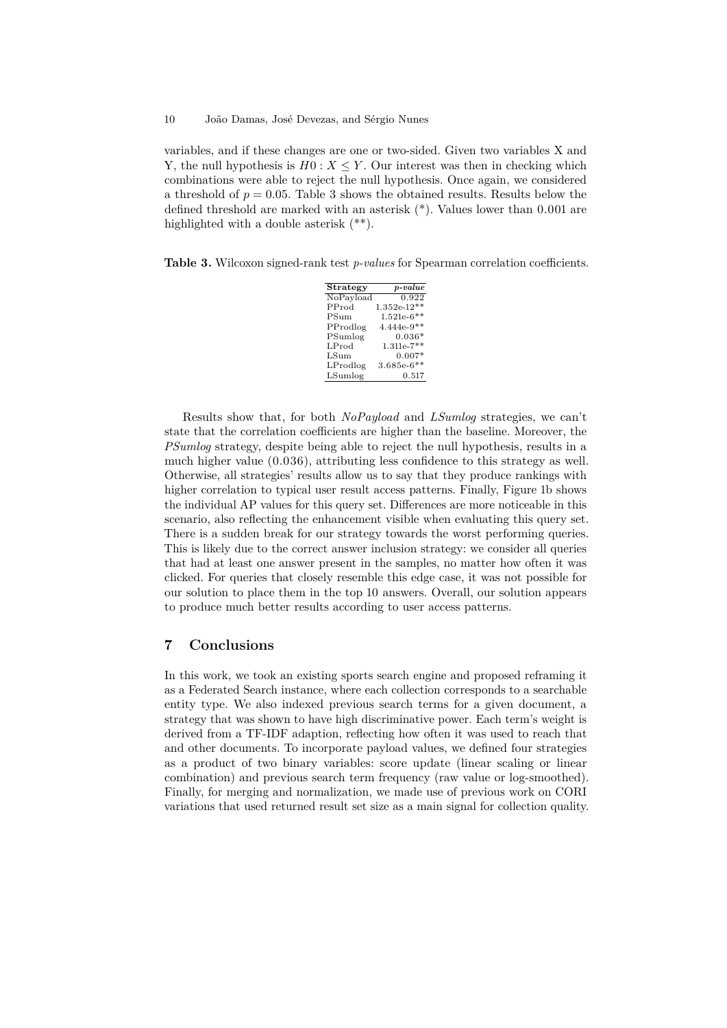variables, and if these changes are one or two-sided. Given two variables X and Y, the null hypothesis is  $H0: X \leq Y$ . Our interest was then in checking which combinations were able to reject the null hypothesis. Once again, we considered a threshold of  $p = 0.05$ . Table [3](#page-9-1) shows the obtained results. Results below the defined threshold are marked with an asterisk (\*). Values lower than 0.001 are highlighted with a double asterisk (\*\*).

<span id="page-9-1"></span>**Table 3.** Wilcoxon signed-rank test *p-values* for Spearman correlation coefficients.

| Strategy         | $p-value$     |
|------------------|---------------|
| NoPayload        | 0.922         |
| PProd            | $1.352e-12**$ |
| PSum             | $1.521e-6**$  |
| PProdlog         | $4.444e-9**$  |
| PSumlog          | $0.036*$      |
| LProd            | $1.311e-7**$  |
| $_{\text{LSum}}$ | $0.007*$      |
| $L$ Prodlog      | $3.685e-6**$  |
| LSumbg           | 0.517         |

Results show that, for both *NoPayload* and *LSumlog* strategies, we can't state that the correlation coefficients are higher than the baseline. Moreover, the *PSumlog* strategy, despite being able to reject the null hypothesis, results in a much higher value (0.036), attributing less confidence to this strategy as well. Otherwise, all strategies' results allow us to say that they produce rankings with higher correlation to typical user result access patterns. Finally, Figure [1b](#page-7-2) shows the individual AP values for this query set. Differences are more noticeable in this scenario, also reflecting the enhancement visible when evaluating this query set. There is a sudden break for our strategy towards the worst performing queries. This is likely due to the correct answer inclusion strategy: we consider all queries that had at least one answer present in the samples, no matter how often it was clicked. For queries that closely resemble this edge case, it was not possible for our solution to place them in the top 10 answers. Overall, our solution appears to produce much better results according to user access patterns.

# <span id="page-9-0"></span>**7 Conclusions**

In this work, we took an existing sports search engine and proposed reframing it as a Federated Search instance, where each collection corresponds to a searchable entity type. We also indexed previous search terms for a given document, a strategy that was shown to have high discriminative power. Each term's weight is derived from a TF-IDF adaption, reflecting how often it was used to reach that and other documents. To incorporate payload values, we defined four strategies as a product of two binary variables: score update (linear scaling or linear combination) and previous search term frequency (raw value or log-smoothed). Finally, for merging and normalization, we made use of previous work on CORI variations that used returned result set size as a main signal for collection quality.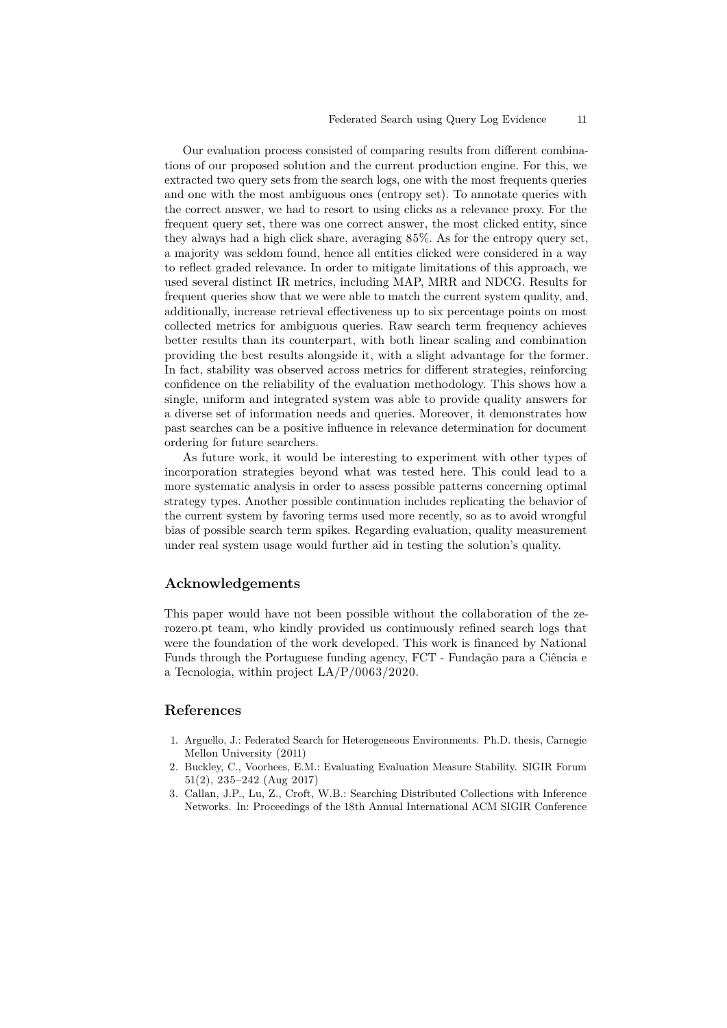Our evaluation process consisted of comparing results from different combinations of our proposed solution and the current production engine. For this, we extracted two query sets from the search logs, one with the most frequents queries and one with the most ambiguous ones (entropy set). To annotate queries with the correct answer, we had to resort to using clicks as a relevance proxy. For the frequent query set, there was one correct answer, the most clicked entity, since they always had a high click share, averaging 85%. As for the entropy query set, a majority was seldom found, hence all entities clicked were considered in a way to reflect graded relevance. In order to mitigate limitations of this approach, we used several distinct IR metrics, including MAP, MRR and NDCG. Results for frequent queries show that we were able to match the current system quality, and, additionally, increase retrieval effectiveness up to six percentage points on most collected metrics for ambiguous queries. Raw search term frequency achieves better results than its counterpart, with both linear scaling and combination providing the best results alongside it, with a slight advantage for the former. In fact, stability was observed across metrics for different strategies, reinforcing confidence on the reliability of the evaluation methodology. This shows how a single, uniform and integrated system was able to provide quality answers for a diverse set of information needs and queries. Moreover, it demonstrates how past searches can be a positive influence in relevance determination for document ordering for future searchers.

As future work, it would be interesting to experiment with other types of incorporation strategies beyond what was tested here. This could lead to a more systematic analysis in order to assess possible patterns concerning optimal strategy types. Another possible continuation includes replicating the behavior of the current system by favoring terms used more recently, so as to avoid wrongful bias of possible search term spikes. Regarding evaluation, quality measurement under real system usage would further aid in testing the solution's quality.

### **Acknowledgements**

This paper would have not been possible without the collaboration of the zerozero.pt team, who kindly provided us continuously refined search logs that were the foundation of the work developed. This work is financed by National Funds through the Portuguese funding agency, FCT - Fundação para a Ciência e a Tecnologia, within project LA/P/0063/2020.

#### **References**

- <span id="page-10-0"></span>1. Arguello, J.: Federated Search for Heterogeneous Environments. Ph.D. thesis, Carnegie Mellon University (2011)
- <span id="page-10-2"></span>2. Buckley, C., Voorhees, E.M.: Evaluating Evaluation Measure Stability. SIGIR Forum 51(2), 235–242 (Aug 2017)
- <span id="page-10-1"></span>3. Callan, J.P., Lu, Z., Croft, W.B.: Searching Distributed Collections with Inference Networks. In: Proceedings of the 18th Annual International ACM SIGIR Conference